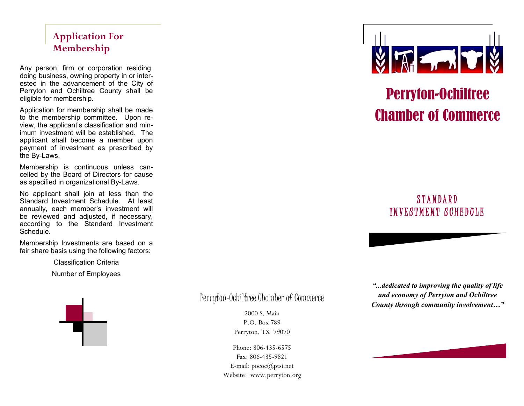### **Application For Membership**

Any person, firm or corporation residing, doing business, owning property in or interested in the advancement of the City of Perryton and Ochiltree County shall be eligible for membership.

Application for membership shall be made to the membership committee. Upon review, the applicant's classification and minimum investment will be established. The applicant shall become a member upon payment of investment as prescribed by the By-Laws.

Membership is continuous unless cancelled by the Board of Directors for cause as specified in organizational By-Laws.

No applicant shall join at less than the Standard Investment Schedule. At least annually, each member's investment will be reviewed and adjusted, if necessary, according to the Standard Investment Schedule.

Membership Investments are based on a fair share basis using the following factors:

Classification Criteria

Number of Employees



Perryton-Ochiltree Chamber of Commerce

2000 S. Main P.O. Box 789 Perryton, TX 79070

Phone: 806-435-6575 Fax: 806-435-9821 E-mail: pococ@ptsi.net Website: www.perryton.org



# Perryton-Ochiltree Chamber of Commerce

## STANDARD INVESTMENT SCHEDOLE

*"...dedicated to improving the quality of life and economy of Perryton and Ochiltree County through community involvement…"*